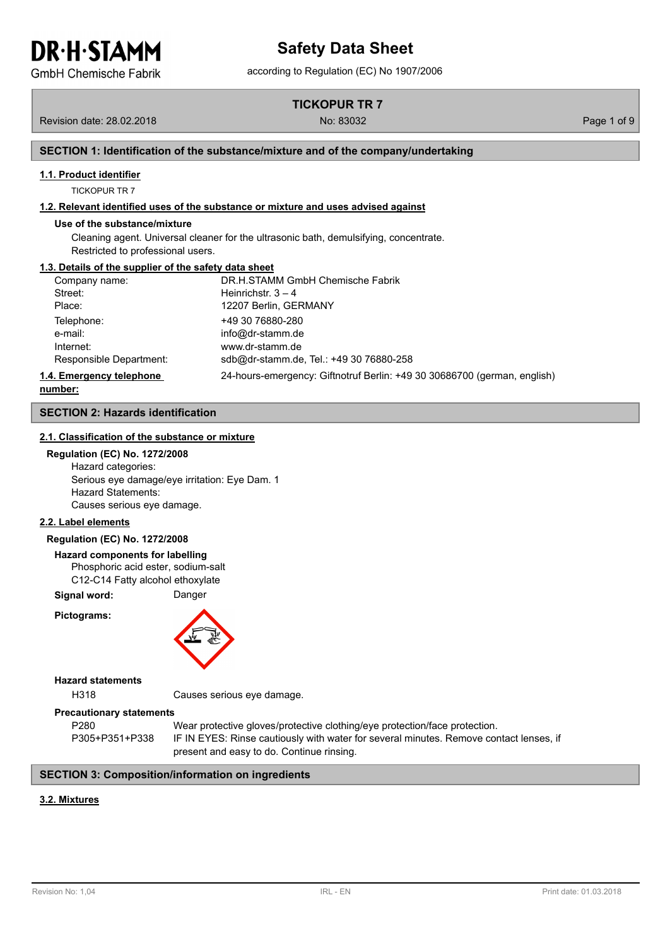**GmbH Chemische Fabrik** 

**TICKOPUR TR 7**

Revision date: 28.02.2018 No: 83032 Page 1 of 9

# **SECTION 1: Identification of the substance/mixture and of the company/undertaking**

#### **1.1. Product identifier**

TICKOPUR TR 7

### **1.2. Relevant identified uses of the substance or mixture and uses advised against**

#### **Use of the substance/mixture**

Cleaning agent. Universal cleaner for the ultrasonic bath, demulsifying, concentrate. Restricted to professional users.

#### **1.3. Details of the supplier of the safety data sheet**

| Company name:            | DR.H.STAMM GmbH Chemische Fabrik                                         |
|--------------------------|--------------------------------------------------------------------------|
| Street:                  | Heinrichstr. $3 - 4$                                                     |
| Place:                   | 12207 Berlin, GERMANY                                                    |
| Telephone:               | +49 30 76880-280                                                         |
| e-mail:                  | info@dr-stamm.de                                                         |
| Internet:                | www.dr-stamm.de                                                          |
| Responsible Department:  | sdb@dr-stamm.de, Tel.: +49 30 76880-258                                  |
| 1.4. Emergency telephone | 24-hours-emergency: Giftnotruf Berlin: +49 30 30686700 (german, english) |

**number:**

#### **SECTION 2: Hazards identification**

#### **2.1. Classification of the substance or mixture**

#### **Regulation (EC) No. 1272/2008**

Hazard categories: Serious eye damage/eye irritation: Eye Dam. 1 Hazard Statements: Causes serious eye damage.

#### **2.2. Label elements**

#### **Regulation (EC) No. 1272/2008**

**Hazard components for labelling** Phosphoric acid ester, sodium-salt C12-C14 Fatty alcohol ethoxylate

**Signal word:** Danger

**Pictograms:**



#### **Hazard statements**

H318 Causes serious eye damage.

#### **Precautionary statements**

P280 Wear protective gloves/protective clothing/eye protection/face protection. P305+P351+P338 IF IN EYES: Rinse cautiously with water for several minutes. Remove contact lenses, if present and easy to do. Continue rinsing.

# **SECTION 3: Composition/information on ingredients**

#### **3.2. Mixtures**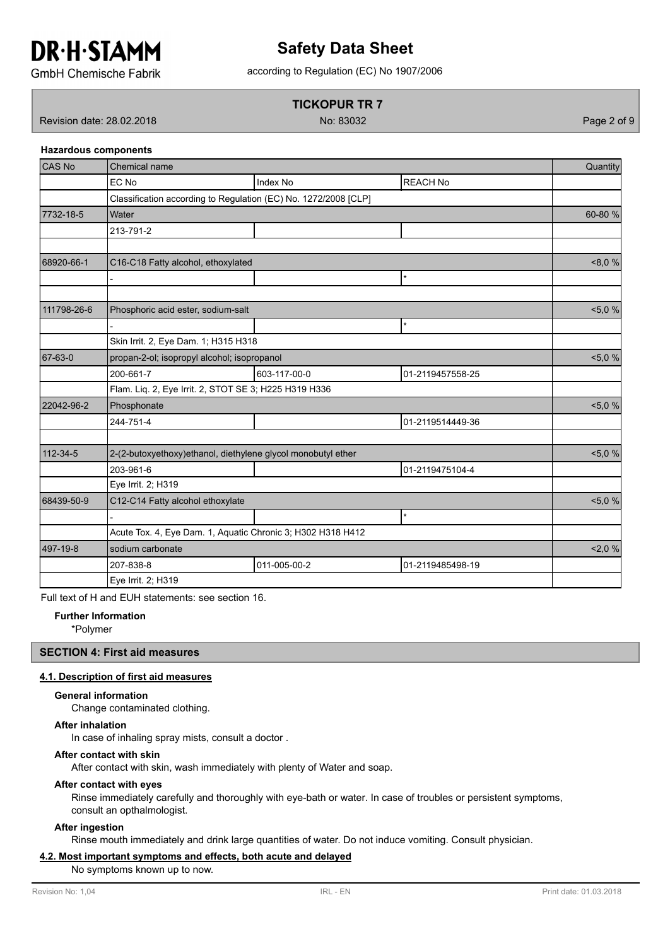

# according to Regulation (EC) No 1907/2006 **Safety Data Sheet**

**GmbH Chemische Fabrik** 

# **TICKOPUR TR 7**

Revision date: 28.02.2018 No: 83032 Page 2 of 9

**Hazardous components**

| CAS No         | Chemical name                                                   |              |                  |           |  |
|----------------|-----------------------------------------------------------------|--------------|------------------|-----------|--|
|                | EC No                                                           | Index No     | <b>REACH No</b>  |           |  |
|                | Classification according to Regulation (EC) No. 1272/2008 [CLP] |              |                  |           |  |
| 7732-18-5      | Water                                                           |              |                  | 60-80 %   |  |
|                | 213-791-2                                                       |              |                  |           |  |
|                |                                                                 |              |                  |           |  |
| 68920-66-1     | C16-C18 Fatty alcohol, ethoxylated                              |              |                  | 8,0%      |  |
|                |                                                                 |              | $\star$          |           |  |
|                |                                                                 |              |                  |           |  |
| 111798-26-6    | Phosphoric acid ester, sodium-salt                              |              |                  | 5,0%      |  |
|                |                                                                 |              | $\star$          |           |  |
|                | Skin Irrit. 2, Eye Dam. 1; H315 H318                            |              |                  |           |  |
| 67-63-0        | propan-2-ol; isopropyl alcohol; isopropanol                     |              |                  | $< 5,0\%$ |  |
|                | 200-661-7                                                       | 603-117-00-0 | 01-2119457558-25 |           |  |
|                | Flam. Liq. 2, Eye Irrit. 2, STOT SE 3; H225 H319 H336           |              |                  |           |  |
| 22042-96-2     | Phosphonate                                                     | 5,0%         |                  |           |  |
|                | 244-751-4                                                       |              | 01-2119514449-36 |           |  |
|                |                                                                 |              |                  |           |  |
| $112 - 34 - 5$ | 2-(2-butoxyethoxy)ethanol, diethylene glycol monobutyl ether    |              |                  | 5,0%      |  |
|                | 203-961-6                                                       |              | 01-2119475104-4  |           |  |
|                | Eye Irrit. 2; H319                                              |              |                  |           |  |
| 68439-50-9     | C12-C14 Fatty alcohol ethoxylate                                |              |                  | 5,0%      |  |
|                |                                                                 |              | $\star$          |           |  |
|                | Acute Tox. 4, Eye Dam. 1, Aquatic Chronic 3; H302 H318 H412     |              |                  |           |  |
| 497-19-8       | sodium carbonate                                                |              |                  | 2,0%      |  |
|                | 207-838-8                                                       | 011-005-00-2 | 01-2119485498-19 |           |  |
|                | Eye Irrit. 2; H319                                              |              |                  |           |  |

Full text of H and EUH statements: see section 16.

#### **Further Information**

\*Polymer

# **SECTION 4: First aid measures**

## **4.1. Description of first aid measures**

#### **General information**

Change contaminated clothing.

#### **After inhalation**

In case of inhaling spray mists, consult a doctor .

#### **After contact with skin**

After contact with skin, wash immediately with plenty of Water and soap.

#### **After contact with eyes**

Rinse immediately carefully and thoroughly with eye-bath or water. In case of troubles or persistent symptoms, consult an opthalmologist.

#### **After ingestion**

Rinse mouth immediately and drink large quantities of water. Do not induce vomiting. Consult physician.

## **4.2. Most important symptoms and effects, both acute and delayed**

No symptoms known up to now.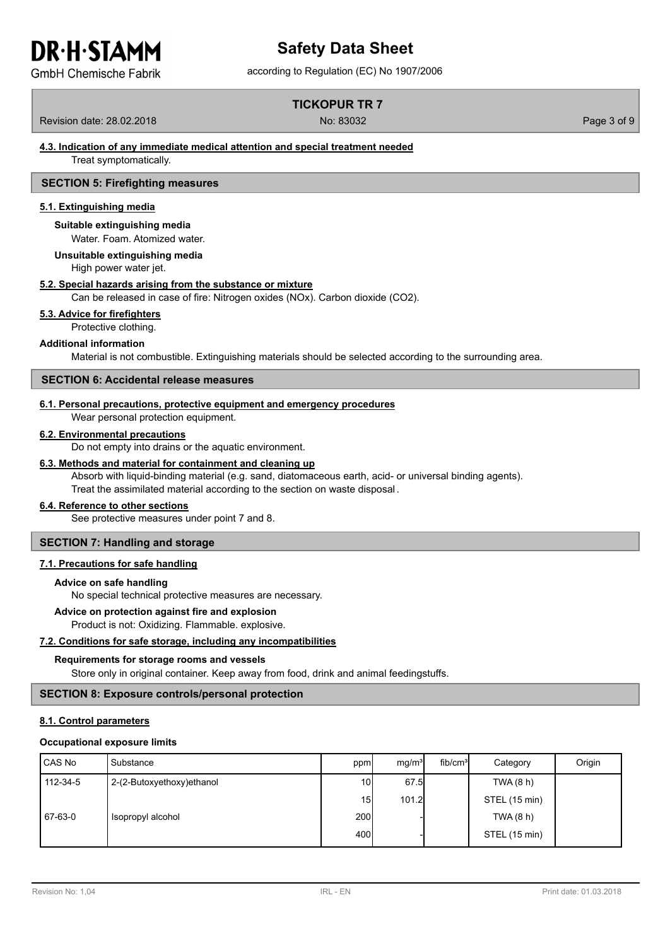**GmbH Chemische Fabrik** 

# **Safety Data Sheet**

according to Regulation (EC) No 1907/2006

# **TICKOPUR TR 7**

Revision date: 28.02.2018 No: 83032 Page 3 of 9

# **4.3. Indication of any immediate medical attention and special treatment needed**

Treat symptomatically.

# **SECTION 5: Firefighting measures**

#### **5.1. Extinguishing media**

## **Suitable extinguishing media**

Water. Foam. Atomized water.

#### **Unsuitable extinguishing media**

High power water jet.

#### **5.2. Special hazards arising from the substance or mixture**

Can be released in case of fire: Nitrogen oxides (NOx). Carbon dioxide (CO2).

#### **5.3. Advice for firefighters**

Protective clothing.

#### **Additional information**

Material is not combustible. Extinguishing materials should be selected according to the surrounding area.

#### **SECTION 6: Accidental release measures**

#### **6.1. Personal precautions, protective equipment and emergency procedures**

Wear personal protection equipment.

#### **6.2. Environmental precautions**

Do not empty into drains or the aquatic environment.

#### **6.3. Methods and material for containment and cleaning up**

Absorb with liquid-binding material (e.g. sand, diatomaceous earth, acid- or universal binding agents). Treat the assimilated material according to the section on waste disposal .

#### **6.4. Reference to other sections**

See protective measures under point 7 and 8.

#### **SECTION 7: Handling and storage**

#### **7.1. Precautions for safe handling**

#### **Advice on safe handling**

No special technical protective measures are necessary.

#### **Advice on protection against fire and explosion**

Product is not: Oxidizing. Flammable. explosive.

#### **7.2. Conditions for safe storage, including any incompatibilities**

#### **Requirements for storage rooms and vessels**

Store only in original container. Keep away from food, drink and animal feedingstuffs.

# **SECTION 8: Exposure controls/personal protection**

# **8.1. Control parameters**

# **Occupational exposure limits**

| <b>CAS No</b> | Substance                 | ppm              | mq/m <sup>3</sup> | fib/cm <sup>3</sup> | Category      | Origin |
|---------------|---------------------------|------------------|-------------------|---------------------|---------------|--------|
| 112-34-5      | 2-(2-Butoxyethoxy)ethanol | 10 <sup>1</sup>  | 67.5              |                     | TWA(8 h)      |        |
|               |                           | 15               | 101.2             |                     | STEL (15 min) |        |
| 67-63-0       | Isopropyl alcohol         | 200 <sup>1</sup> |                   |                     | TWA (8 h)     |        |
|               |                           | 400l             |                   |                     | STEL (15 min) |        |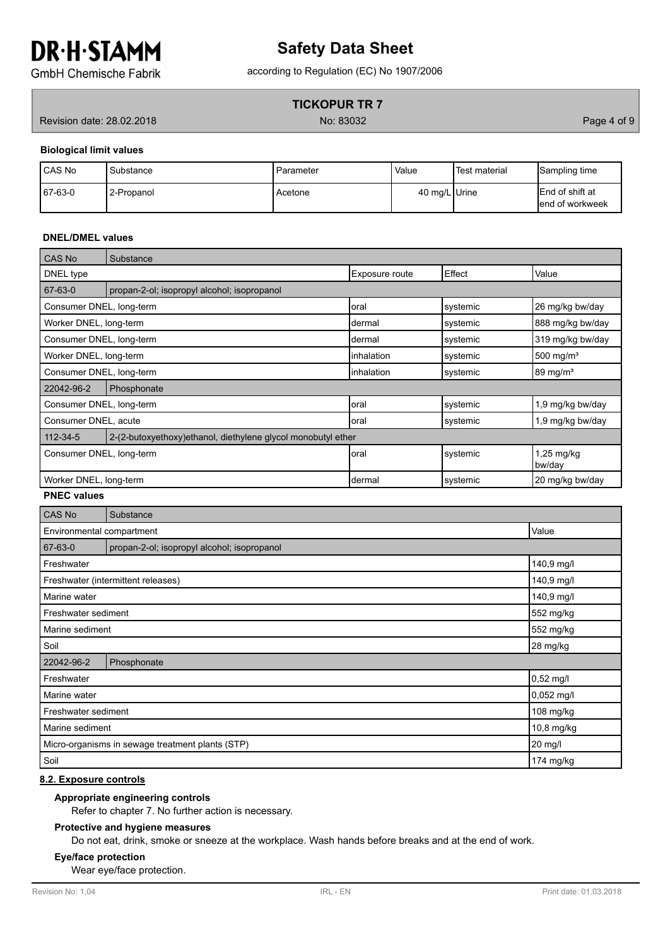# **Safety Data Sheet**

according to Regulation (EC) No 1907/2006

**GmbH Chemische Fabrik** 

# **TICKOPUR TR 7**

Revision date: 28.02.2018 **Page 4 of 9** No: 83032 **No: 83032** Page 4 of 9

### **Biological limit values**

| <b>CAS No</b> | Substance  | l Parameter | Value         | Test material | Sampling time                               |
|---------------|------------|-------------|---------------|---------------|---------------------------------------------|
| $167-63-0$    | 2-Propanol | Acetone     | 40 mg/L Urine |               | <b>IEnd of shift at</b><br>lend of workweek |

### **DNEL/DMEL values**

| <b>CAS No</b>                                                                  | Substance                                   |                |          |                      |  |
|--------------------------------------------------------------------------------|---------------------------------------------|----------------|----------|----------------------|--|
| DNEL type                                                                      |                                             | Exposure route | Effect   | Value                |  |
| 67-63-0                                                                        | propan-2-ol; isopropyl alcohol; isopropanol |                |          |                      |  |
| Consumer DNEL, long-term                                                       |                                             | loral          | systemic | 26 mg/kg bw/day      |  |
| Worker DNEL, long-term                                                         |                                             | Idermal        | systemic | 888 mg/kg bw/day     |  |
| Consumer DNEL, long-term                                                       |                                             | Idermal        | systemic | 319 mg/kg bw/day     |  |
| Worker DNEL, long-term                                                         |                                             | inhalation     | systemic | 500 mg/ $m3$         |  |
| Consumer DNEL, long-term                                                       |                                             | linhalation    | systemic | $89 \text{ mg/m}^3$  |  |
| 22042-96-2                                                                     | Phosphonate                                 |                |          |                      |  |
| Consumer DNEL, long-term                                                       |                                             | loral          | systemic | 1,9 mg/kg bw/day     |  |
| Consumer DNEL, acute                                                           |                                             | loral          | systemic | 1,9 mg/kg bw/day     |  |
| $112 - 34 - 5$<br>2-(2-butoxyethoxy)ethanol, diethylene glycol monobutyl ether |                                             |                |          |                      |  |
| Consumer DNEL, long-term                                                       |                                             | loral          | systemic | 1,25 mg/kg<br>bw/day |  |
| Worker DNEL, long-term                                                         |                                             | Idermal        | systemic | 20 mg/kg bw/day      |  |

#### **PNEC values**

| <b>CAS No</b>                                               | Substance                                   |            |
|-------------------------------------------------------------|---------------------------------------------|------------|
| Environmental compartment                                   | Value                                       |            |
| 67-63-0                                                     | propan-2-ol; isopropyl alcohol; isopropanol |            |
| Freshwater                                                  |                                             | 140,9 mg/l |
|                                                             | Freshwater (intermittent releases)          | 140,9 mg/l |
| Marine water                                                |                                             | 140,9 mg/l |
| Freshwater sediment                                         | 552 mg/kg                                   |            |
| 552 mg/kg<br>Marine sediment                                |                                             |            |
| Soil                                                        |                                             | 28 mg/kg   |
| 22042-96-2                                                  | Phosphonate                                 |            |
| Freshwater                                                  |                                             | 0,52 mg/l  |
| Marine water                                                |                                             | 0,052 mg/l |
| 108 mg/kg<br>Freshwater sediment                            |                                             |            |
| 10,8 mg/kg<br>Marine sediment                               |                                             |            |
| Micro-organisms in sewage treatment plants (STP)<br>20 mg/l |                                             |            |
| Soil                                                        |                                             | 174 mg/kg  |

# **8.2. Exposure controls**

## **Appropriate engineering controls**

Refer to chapter 7. No further action is necessary.

## **Protective and hygiene measures**

Do not eat, drink, smoke or sneeze at the workplace. Wash hands before breaks and at the end of work.

## **Eye/face protection**

Wear eye/face protection.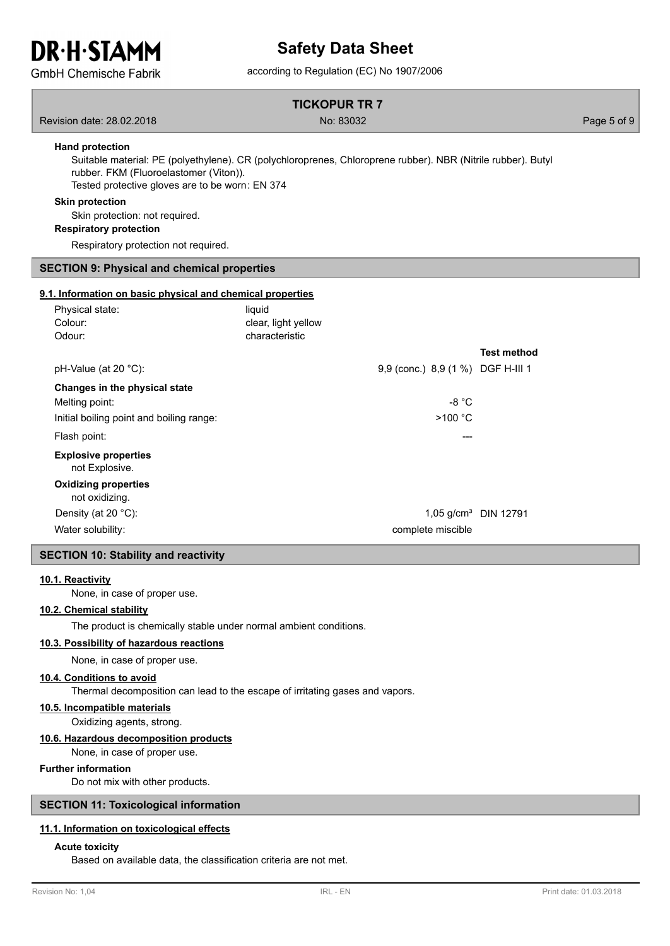# **Safety Data Sheet**

**GmbH Chemische Fabrik** 

# according to Regulation (EC) No 1907/2006

# **TICKOPUR TR 7**

Revision date: 28.02.2018 **Page 5 of 9** No: 83032 **Page 5 of 9** No: 83032

#### **Hand protection**

Suitable material: PE (polyethylene). CR (polychloroprenes, Chloroprene rubber). NBR (Nitrile rubber). Butyl rubber. FKM (Fluoroelastomer (Viton)). Tested protective gloves are to be worn: EN 374

#### **Skin protection**

Skin protection: not required.

**Respiratory protection**

Respiratory protection not required.

#### **SECTION 9: Physical and chemical properties**

#### **9.1. Information on basic physical and chemical properties**

| Physical state:<br>Colour:                    | liquid<br>clear, light yellow |                                   |                         |
|-----------------------------------------------|-------------------------------|-----------------------------------|-------------------------|
| Odour:                                        | characteristic                |                                   |                         |
|                                               |                               |                                   | <b>Test method</b>      |
| pH-Value (at 20 $^{\circ}$ C):                |                               | 9,9 (conc.) 8,9 (1 %) DGF H-III 1 |                         |
| Changes in the physical state                 |                               |                                   |                         |
| Melting point:                                |                               | -8 °C                             |                         |
| Initial boiling point and boiling range:      |                               | >100 °C                           |                         |
| Flash point:                                  |                               | ---                               |                         |
| <b>Explosive properties</b><br>not Explosive. |                               |                                   |                         |
| <b>Oxidizing properties</b><br>not oxidizing. |                               |                                   |                         |
| Density (at 20 $^{\circ}$ C):                 |                               |                                   | 1,05 $q/cm^3$ DIN 12791 |
| Water solubility:                             |                               | complete miscible                 |                         |

#### **SECTION 10: Stability and reactivity**

## **10.1. Reactivity**

None, in case of proper use.

## **10.2. Chemical stability**

The product is chemically stable under normal ambient conditions.

#### **10.3. Possibility of hazardous reactions**

None, in case of proper use.

#### **10.4. Conditions to avoid**

Thermal decomposition can lead to the escape of irritating gases and vapors.

#### **10.5. Incompatible materials**

Oxidizing agents, strong.

#### **10.6. Hazardous decomposition products**

None, in case of proper use.

#### **Further information**

Do not mix with other products.

### **SECTION 11: Toxicological information**

#### **11.1. Information on toxicological effects**

#### **Acute toxicity**

Based on available data, the classification criteria are not met.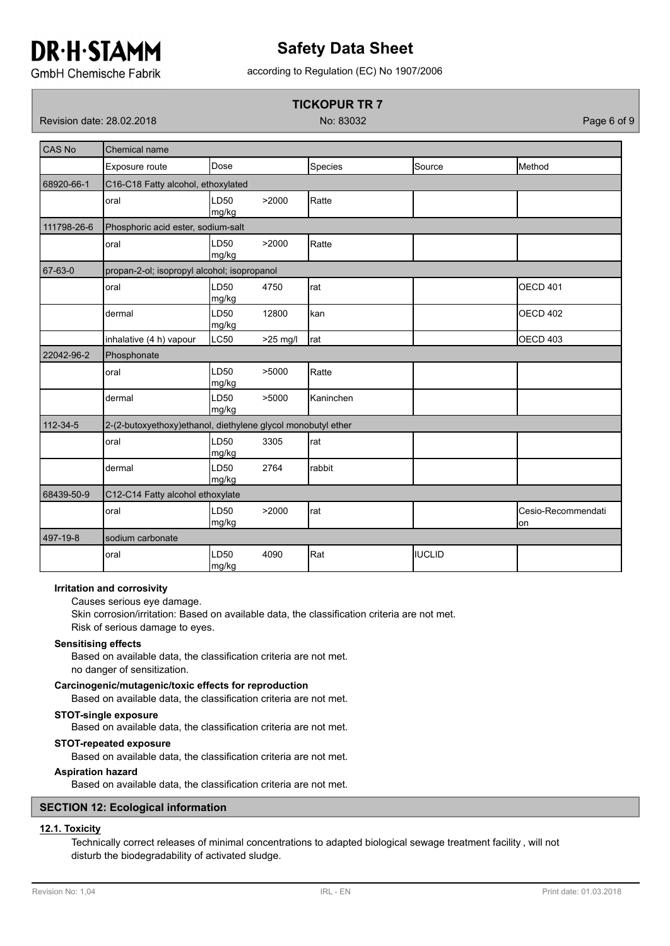# **Safety Data Sheet**

according to Regulation (EC) No 1907/2006

**GmbH Chemische Fabrik** 

# **TICKOPUR TR 7**

Revision date: 28.02.2018 No: 83032 Page 6 of 9

| <b>CAS No</b> | Chemical name                                                |                                    |            |           |               |                           |  |  |
|---------------|--------------------------------------------------------------|------------------------------------|------------|-----------|---------------|---------------------------|--|--|
|               | Exposure route                                               | Dose                               |            | Species   | Source        | Method                    |  |  |
| 68920-66-1    |                                                              | C16-C18 Fatty alcohol, ethoxylated |            |           |               |                           |  |  |
|               | oral                                                         | LD50<br>mg/kg                      | >2000      | Ratte     |               |                           |  |  |
| 111798-26-6   | Phosphoric acid ester, sodium-salt                           |                                    |            |           |               |                           |  |  |
|               | oral                                                         | LD50<br>mg/kg                      | >2000      | Ratte     |               |                           |  |  |
| 67-63-0       | propan-2-ol; isopropyl alcohol; isopropanol                  |                                    |            |           |               |                           |  |  |
|               | oral                                                         | LD50<br>mg/kg                      | 4750       | rat       |               | <b>OECD 401</b>           |  |  |
|               | dermal                                                       | LD50<br>mg/kg                      | 12800      | kan       |               | <b>OECD 402</b>           |  |  |
|               | inhalative (4 h) vapour                                      | <b>LC50</b>                        | $>25$ mg/l | rat       |               | <b>OECD 403</b>           |  |  |
| 22042-96-2    | Phosphonate                                                  |                                    |            |           |               |                           |  |  |
|               | oral                                                         | LD50<br>mg/kg                      | >5000      | Ratte     |               |                           |  |  |
|               | dermal                                                       | LD50<br>mg/kg                      | >5000      | Kaninchen |               |                           |  |  |
| 112-34-5      | 2-(2-butoxyethoxy)ethanol, diethylene glycol monobutyl ether |                                    |            |           |               |                           |  |  |
|               | oral                                                         | LD50<br>mg/kg                      | 3305       | rat       |               |                           |  |  |
|               | dermal                                                       | LD50<br>mg/kg                      | 2764       | rabbit    |               |                           |  |  |
| 68439-50-9    | C12-C14 Fatty alcohol ethoxylate                             |                                    |            |           |               |                           |  |  |
|               | oral                                                         | LD50<br>mg/kg                      | >2000      | rat       |               | Cesio-Recommendati<br>lon |  |  |
| 497-19-8      | sodium carbonate                                             |                                    |            |           |               |                           |  |  |
|               | oral                                                         | LD50<br>mg/kg                      | 4090       | Rat       | <b>IUCLID</b> |                           |  |  |

#### **Irritation and corrosivity**

Causes serious eye damage.

Skin corrosion/irritation: Based on available data, the classification criteria are not met.

Risk of serious damage to eyes.

#### **Sensitising effects**

Based on available data, the classification criteria are not met. no danger of sensitization.

#### **Carcinogenic/mutagenic/toxic effects for reproduction**

Based on available data, the classification criteria are not met.

#### **STOT-single exposure**

Based on available data, the classification criteria are not met.

# **STOT-repeated exposure**

Based on available data, the classification criteria are not met.

## **Aspiration hazard**

Based on available data, the classification criteria are not met.

## **SECTION 12: Ecological information**

# **12.1. Toxicity**

Technically correct releases of minimal concentrations to adapted biological sewage treatment facility , will not disturb the biodegradability of activated sludge.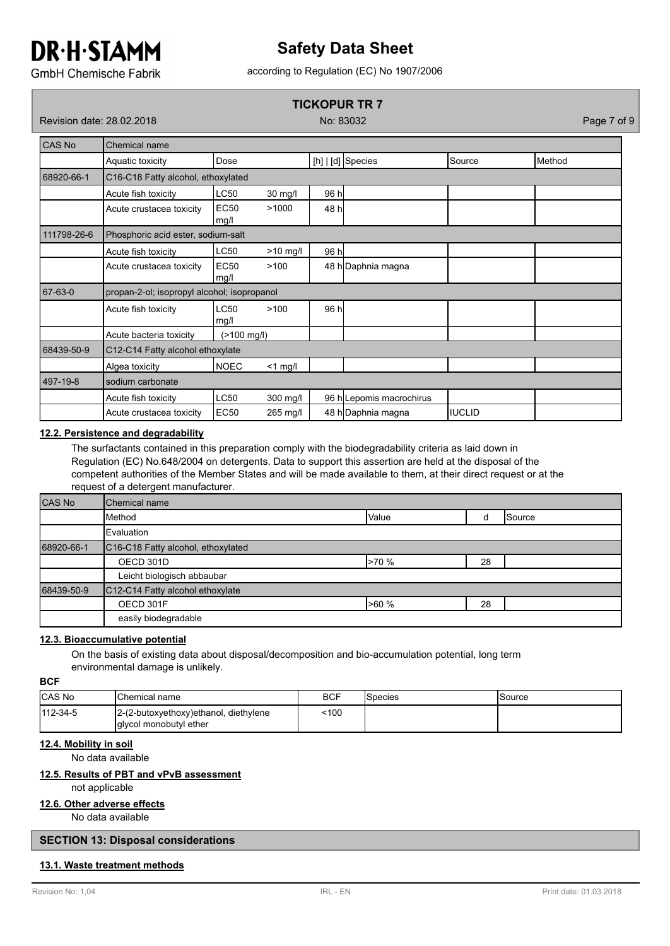# **Safety Data Sheet**

according to Regulation (EC) No 1907/2006

**GmbH Chemische Fabrik** 

# **TICKOPUR TR 7**

Revision date: 28.02.2018 No: 83032 Page 7 of 9

| CAS No      | Chemical name                               |                       |            |       |                          |                |        |
|-------------|---------------------------------------------|-----------------------|------------|-------|--------------------------|----------------|--------|
|             | Aquatic toxicity                            | Dose                  |            |       | $[h]   [d]$ Species      | Source         | Method |
| 68920-66-1  | C16-C18 Fatty alcohol, ethoxylated          |                       |            |       |                          |                |        |
|             | Acute fish toxicity                         | <b>LC50</b>           | 30 mg/l    | 96 h  |                          |                |        |
|             | Acute crustacea toxicity                    | <b>EC50</b><br>mg/l   | >1000      | 48 h  |                          |                |        |
| 111798-26-6 | Phosphoric acid ester, sodium-salt          |                       |            |       |                          |                |        |
|             | Acute fish toxicity                         | <b>LC50</b>           | $>10$ mg/l | 96 hl |                          |                |        |
|             | Acute crustacea toxicity                    | <b>EC50</b><br>mg/l   | >100       |       | 48 h Daphnia magna       |                |        |
| 67-63-0     | propan-2-ol; isopropyl alcohol; isopropanol |                       |            |       |                          |                |        |
|             | Acute fish toxicity                         | <b>LC50</b><br>mg/l   | >100       | 96 h  |                          |                |        |
|             | Acute bacteria toxicity                     | $(>100 \text{ mg/l})$ |            |       |                          |                |        |
| 68439-50-9  | C12-C14 Fatty alcohol ethoxylate            |                       |            |       |                          |                |        |
|             | Algea toxicity                              | NOEC                  | $< 1$ mg/l |       |                          |                |        |
| 497-19-8    | sodium carbonate                            |                       |            |       |                          |                |        |
|             | Acute fish toxicity                         | <b>LC50</b>           | 300 mg/l   |       | 96 h Lepomis macrochirus |                |        |
|             | Acute crustacea toxicity                    | <b>EC50</b>           | 265 mg/l   |       | 48 h Daphnia magna       | <b>IIUCLID</b> |        |

# **12.2. Persistence and degradability**

The surfactants contained in this preparation comply with the biodegradability criteria as laid down in Regulation (EC) No.648/2004 on detergents. Data to support this assertion are held at the disposal of the competent authorities of the Member States and will be made available to them, at their direct request or at the request of a detergent manufacturer.

| <b>CAS No</b> | Chemical name                                               |       |    |                 |
|---------------|-------------------------------------------------------------|-------|----|-----------------|
|               | <b>Method</b>                                               | Value |    | <b>I</b> Source |
|               | Evaluation                                                  |       |    |                 |
| 68920-66-1    | C <sub>16</sub> -C <sub>18</sub> Fatty alcohol, ethoxylated |       |    |                 |
|               | OECD 301D                                                   | >70 % | 28 |                 |
|               | Leicht biologisch abbaubar                                  |       |    |                 |
| 68439-50-9    | C12-C14 Fatty alcohol ethoxylate                            |       |    |                 |
|               | OECD 301F                                                   | >60%  | 28 |                 |
|               | easily biodegradable                                        |       |    |                 |

## **12.3. Bioaccumulative potential**

On the basis of existing data about disposal/decomposition and bio-accumulation potential, long term environmental damage is unlikely.

#### **BCF**

| <b>CAS No</b>  | <b>IChemical name</b>                                            | BCF  | ISpecies | Source |
|----------------|------------------------------------------------------------------|------|----------|--------|
| $112 - 34 - 5$ | 2-(2-butoxyethoxy) ethanol, diethylene<br>glycol monobutyl ether | 100> |          |        |

#### **12.4. Mobility in soil**

No data available

# **12.5. Results of PBT and vPvB assessment**

not applicable

#### **12.6. Other adverse effects**

No data available

#### **SECTION 13: Disposal considerations**

## **13.1. Waste treatment methods**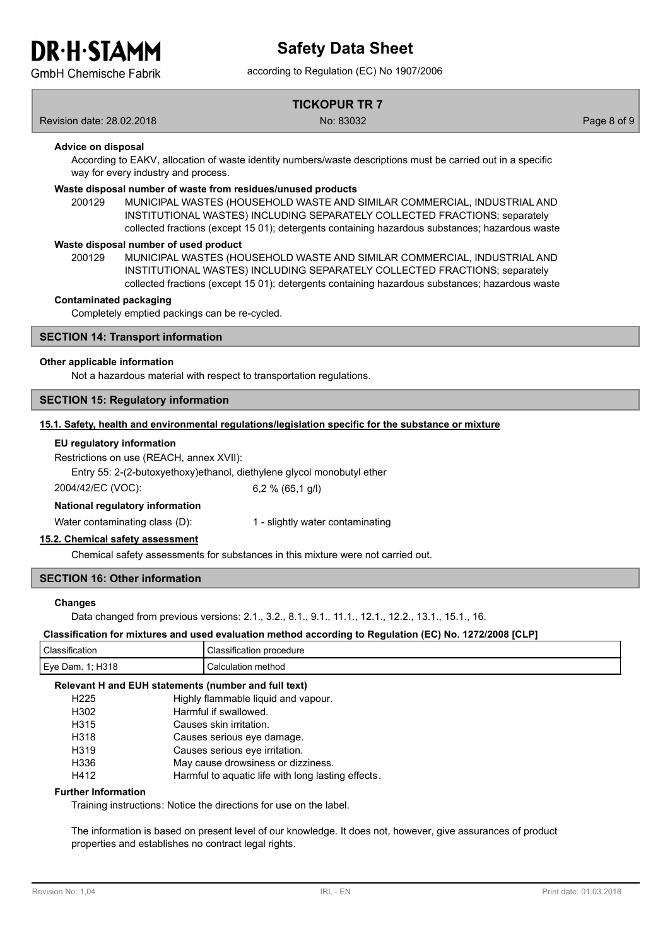# according to Regulation (EC) No 1907/2006 **Safety Data Sheet**

**GmbH Chemische Fabrik** 

# **TICKOPUR TR 7**

Revision date: 28.02.2018 No: 83032 Page 8 of 9

#### **Advice on disposal**

According to EAKV, allocation of waste identity numbers/waste descriptions must be carried out in a specific way for every industry and process.

# **Waste disposal number of waste from residues/unused products**

200129 MUNICIPAL WASTES (HOUSEHOLD WASTE AND SIMILAR COMMERCIAL, INDUSTRIAL AND INSTITUTIONAL WASTES) INCLUDING SEPARATELY COLLECTED FRACTIONS; separately collected fractions (except 15 01); detergents containing hazardous substances; hazardous waste

#### **Waste disposal number of used product**

MUNICIPAL WASTES (HOUSEHOLD WASTE AND SIMILAR COMMERCIAL, INDUSTRIAL AND INSTITUTIONAL WASTES) INCLUDING SEPARATELY COLLECTED FRACTIONS; separately collected fractions (except 15 01); detergents containing hazardous substances; hazardous waste 200129

#### **Contaminated packaging**

Completely emptied packings can be re-cycled.

#### **SECTION 14: Transport information**

#### **Other applicable information**

Not a hazardous material with respect to transportation regulations.

#### **SECTION 15: Regulatory information**

#### **15.1. Safety, health and environmental regulations/legislation specific for the substance or mixture**

#### **EU regulatory information**

Restrictions on use (REACH, annex XVII):

Entry 55: 2-(2-butoxyethoxy)ethanol, diethylene glycol monobutyl ether

2004/42/EC (VOC): 6,2 % (65,1 g/l)

#### **National regulatory information**

Water contaminating class (D): 1 - slightly water contaminating

**15.2. Chemical safety assessment**

Chemical safety assessments for substances in this mixture were not carried out.

#### **SECTION 16: Other information**

#### **Changes**

Data changed from previous versions: 2.1., 3.2., 8.1., 9.1., 11.1., 12.1., 12.2., 13.1., 15.1., 16.

#### **Classification for mixtures and used evaluation method according to Regulation (EC) No. 1272/2008 [CLP]**

| Classification      | Classification<br>procedure |
|---------------------|-----------------------------|
| Eye Dam.<br>l: H318 | method<br>∴alc'<br>:ulation |
|                     |                             |

### **Relevant H and EUH statements (number and full text)**

| H <sub>225</sub> | Highly flammable liquid and vapour.                |
|------------------|----------------------------------------------------|
| H302             | Harmful if swallowed.                              |
| H315             | Causes skin irritation.                            |
| H318             | Causes serious eye damage.                         |
| H319             | Causes serious eve irritation.                     |
| H336             | May cause drowsiness or dizziness.                 |
| H412             | Harmful to aquatic life with long lasting effects. |

#### **Further Information**

Training instructions: Notice the directions for use on the label.

The information is based on present level of our knowledge. It does not, however, give assurances of product properties and establishes no contract legal rights.